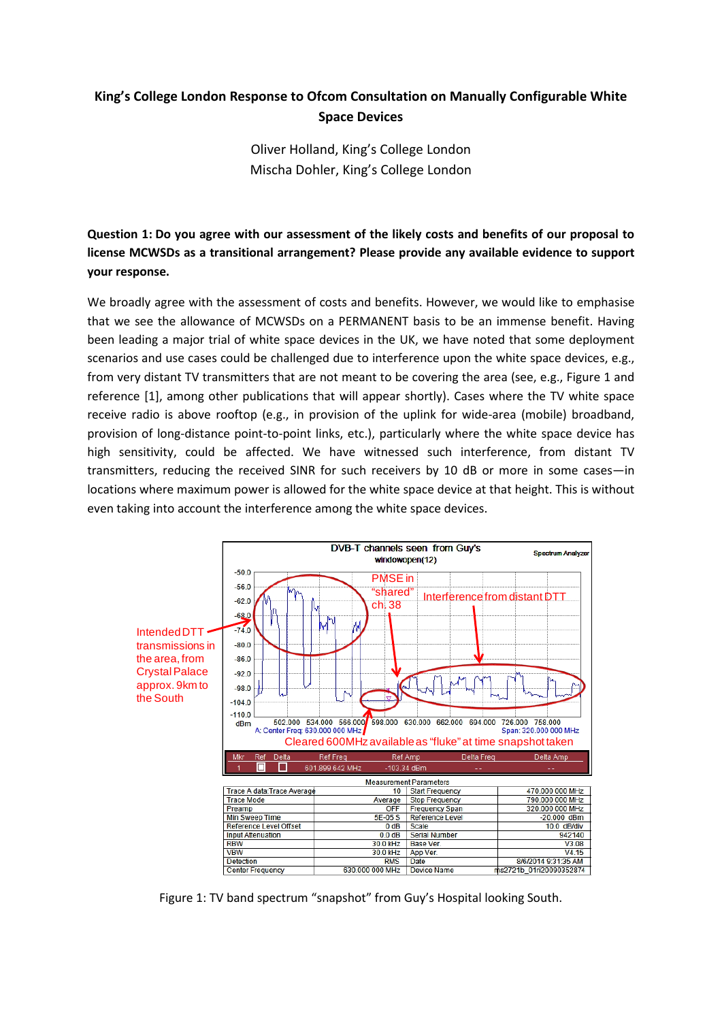# **King's College London Response to Ofcom Consultation on Manually Configurable White Space Devices**

Oliver Holland, King's College London Mischa Dohler, King's College London

**Question 1: Do you agree with our assessment of the likely costs and benefits of our proposal to license MCWSDs as a transitional arrangement? Please provide any available evidence to support your response.**

We broadly agree with the assessment of costs and benefits. However, we would like to emphasise that we see the allowance of MCWSDs on a PERMANENT basis to be an immense benefit. Having been leading a major trial of white space devices in the UK, we have noted that some deployment scenarios and use cases could be challenged due to interference upon the white space devices, e.g., from very distant TV transmitters that are not meant to be covering the area (see, e.g., Figure 1 and reference [1], among other publications that will appear shortly). Cases where the TV white space receive radio is above rooftop (e.g., in provision of the uplink for wide-area (mobile) broadband, provision of long-distance point-to-point links, etc.), particularly where the white space device has high sensitivity, could be affected. We have witnessed such interference, from distant TV transmitters, reducing the received SINR for such receivers by 10 dB or more in some cases—in locations where maximum power is allowed for the white space device at that height. This is without even taking into account the interference among the white space devices.



Figure 1: TV band spectrum "snapshot" from Guy's Hospital looking South.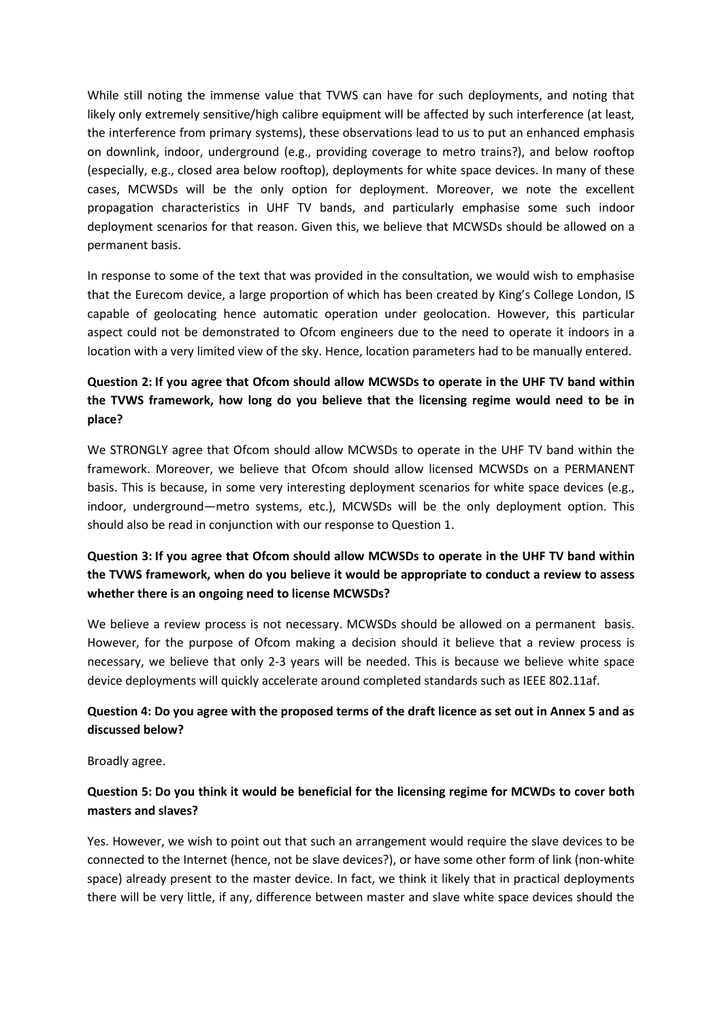While still noting the immense value that TVWS can have for such deployments, and noting that likely only extremely sensitive/high calibre equipment will be affected by such interference (at least, the interference from primary systems), these observations lead to us to put an enhanced emphasis on downlink, indoor, underground (e.g., providing coverage to metro trains?), and below rooftop (especially, e.g., closed area below rooftop), deployments for white space devices. In many of these cases, MCWSDs will be the only option for deployment. Moreover, we note the excellent propagation characteristics in UHF TV bands, and particularly emphasise some such indoor deployment scenarios for that reason. Given this, we believe that MCWSDs should be allowed on a permanent basis.

In response to some of the text that was provided in the consultation, we would wish to emphasise that the Eurecom device, a large proportion of which has been created by King's College London, IS capable of geolocating hence automatic operation under geolocation. However, this particular aspect could not be demonstrated to Ofcom engineers due to the need to operate it indoors in a location with a very limited view of the sky. Hence, location parameters had to be manually entered.

## **Question 2: If you agree that Ofcom should allow MCWSDs to operate in the UHF TV band within the TVWS framework, how long do you believe that the licensing regime would need to be in place?**

We STRONGLY agree that Ofcom should allow MCWSDs to operate in the UHF TV band within the framework. Moreover, we believe that Ofcom should allow licensed MCWSDs on a PERMANENT basis. This is because, in some very interesting deployment scenarios for white space devices (e.g., indoor, underground—metro systems, etc.), MCWSDs will be the only deployment option. This should also be read in conjunction with our response to Question 1.

## **Question 3: If you agree that Ofcom should allow MCWSDs to operate in the UHF TV band within the TVWS framework, when do you believe it would be appropriate to conduct a review to assess whether there is an ongoing need to license MCWSDs?**

We believe a review process is not necessary. MCWSDs should be allowed on a permanent basis. However, for the purpose of Ofcom making a decision should it believe that a review process is necessary, we believe that only 2-3 years will be needed. This is because we believe white space device deployments will quickly accelerate around completed standards such as IEEE 802.11af.

## **Question 4: Do you agree with the proposed terms of the draft licence as set out in Annex 5 and as discussed below?**

Broadly agree.

### **Question 5: Do you think it would be beneficial for the licensing regime for MCWDs to cover both masters and slaves?**

Yes. However, we wish to point out that such an arrangement would require the slave devices to be connected to the Internet (hence, not be slave devices?), or have some other form of link (non-white space) already present to the master device. In fact, we think it likely that in practical deployments there will be very little, if any, difference between master and slave white space devices should the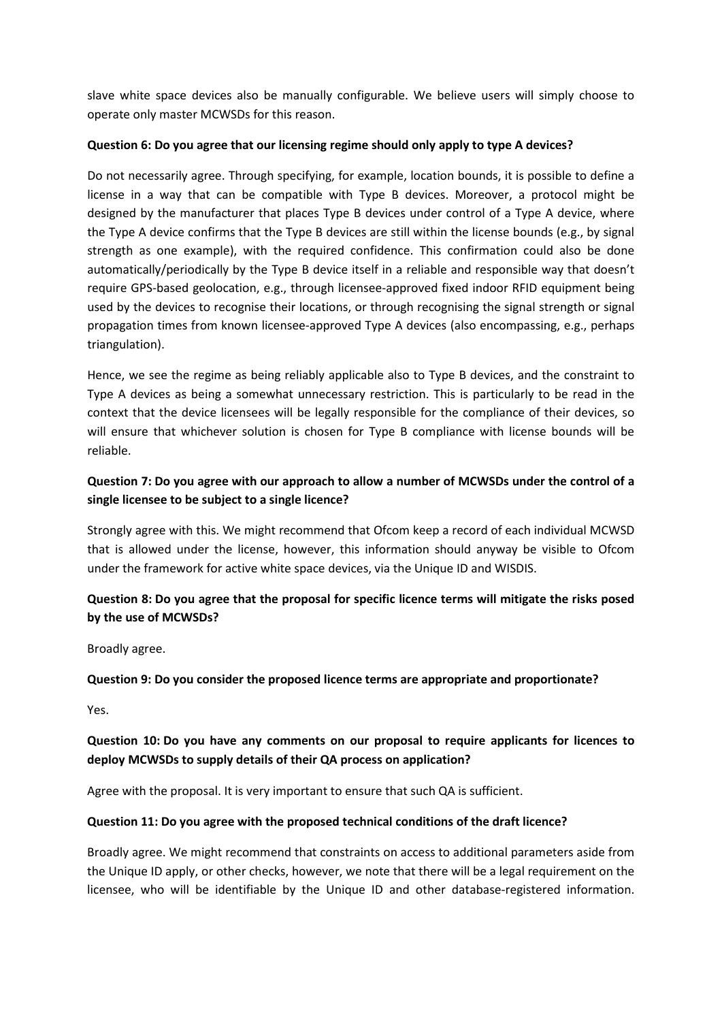slave white space devices also be manually configurable. We believe users will simply choose to operate only master MCWSDs for this reason.

#### **Question 6: Do you agree that our licensing regime should only apply to type A devices?**

Do not necessarily agree. Through specifying, for example, location bounds, it is possible to define a license in a way that can be compatible with Type B devices. Moreover, a protocol might be designed by the manufacturer that places Type B devices under control of a Type A device, where the Type A device confirms that the Type B devices are still within the license bounds (e.g., by signal strength as one example), with the required confidence. This confirmation could also be done automatically/periodically by the Type B device itself in a reliable and responsible way that doesn't require GPS-based geolocation, e.g., through licensee-approved fixed indoor RFID equipment being used by the devices to recognise their locations, or through recognising the signal strength or signal propagation times from known licensee-approved Type A devices (also encompassing, e.g., perhaps triangulation).

Hence, we see the regime as being reliably applicable also to Type B devices, and the constraint to Type A devices as being a somewhat unnecessary restriction. This is particularly to be read in the context that the device licensees will be legally responsible for the compliance of their devices, so will ensure that whichever solution is chosen for Type B compliance with license bounds will be reliable.

## **Question 7: Do you agree with our approach to allow a number of MCWSDs under the control of a single licensee to be subject to a single licence?**

Strongly agree with this. We might recommend that Ofcom keep a record of each individual MCWSD that is allowed under the license, however, this information should anyway be visible to Ofcom under the framework for active white space devices, via the Unique ID and WISDIS.

## **Question 8: Do you agree that the proposal for specific licence terms will mitigate the risks posed by the use of MCWSDs?**

Broadly agree.

### **Question 9: Do you consider the proposed licence terms are appropriate and proportionate?**

Yes.

## **Question 10: Do you have any comments on our proposal to require applicants for licences to deploy MCWSDs to supply details of their QA process on application?**

Agree with the proposal. It is very important to ensure that such QA is sufficient.

### **Question 11: Do you agree with the proposed technical conditions of the draft licence?**

Broadly agree. We might recommend that constraints on access to additional parameters aside from the Unique ID apply, or other checks, however, we note that there will be a legal requirement on the licensee, who will be identifiable by the Unique ID and other database-registered information.